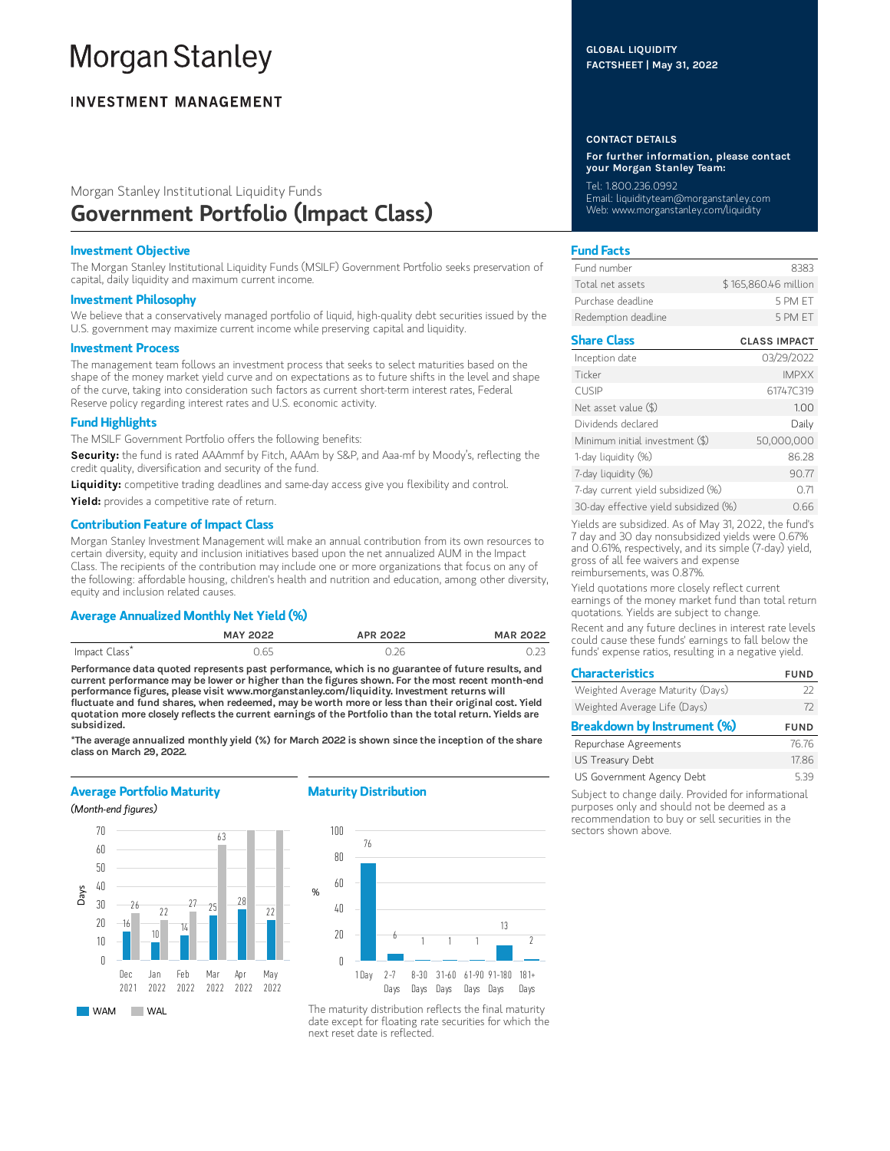# **Morgan Stanley**

# **INVESTMENT MANAGEMENT**

# Morgan Stanley Institutional Liquidity Funds

# Government Portfolio (Impact Class)

# Investment Objective

The Morgan Stanley Institutional Liquidity Funds (MSILF) Government Portfolio seeks preservation of capital, daily liquidity and maximum current income.

# Investment Philosophy

We believe that a conservatively managed portfolio of liquid, high-quality debt securities issued by the U.S. government may maximize current income while preserving capital and liquidity.

#### Investment Process

The management team follows an investment process that seeks to select maturities based on the shape of the money market yield curve and on expectations as to future shifts in the level and shape of the curve, taking into consideration such factors as current short-term interest rates, Federal Reserve policy regarding interest rates and U.S. economic activity.

# Fund Highlights

The MSILF Government Portfolio offers the following benefits:

Security: the fund is rated AAAmmf by Fitch, AAAm by S&P, and Aaa-mf by Moody's, reflecting the credit quality, diversification and security of the fund.

Liquidity: competitive trading deadlines and same-day access give you flexibility and control.

Yield: provides a competitive rate of return.

#### Contribution Feature of Impact Class

Morgan Stanley Investment Management will make an annual contribution from its own resources to certain diversity, equity and inclusion initiatives based upon the net annualized AUM in the Impact Class. The recipients of the contribution may include one or more organizations that focus on any of the following: affordable housing, children's health and nutrition and education, among other diversity, equity and inclusion related causes.

# Average Annualized Monthly Net Yield (%)

|              | <b>MAY 2022</b> | APR 2022 | <b>MAR 2022</b> |
|--------------|-----------------|----------|-----------------|
| Impact Class | 0.65            |          |                 |

Performance data quoted represents past performance, which is no guarantee of future results, and current performance may be lower or higher than the figures shown. For the most recent month-end performance figures, please visit www.morganstanley.com/liquidity. Investment returns will fluctuate and fund shares, when redeemed, may be worth more or less than their original cost. Yield quotation more closely reflects the current earnings of the Portfolio than the total return. Yields are subsidized.

\*The average annualized monthly yield (%) for March 2022 is shown since the inception of the share class on March 29, 2022.

# Average Portfolio Maturity

(Month-end figures)



# Maturity Distribution



# CONTACT DETAILS

GLOBAL LIQUIDITY FACTSHEET | May 31, 2022

For further information, please contact your Morgan Stanley Team:

Tel: 1.800.236.0992 Email: liquidityteam@morganstanley.com Web: www.morganstanley.com/liquidity

# Fund Facts

| Fund number         | 8383                 |
|---------------------|----------------------|
| Total net assets    | \$165,860.46 million |
| Purchase deadline   | 5 PM FT              |
| Redemption deadline | 5 PM FT              |

| <b>Share Class</b>                    | <b>CLASS IMPACT</b> |
|---------------------------------------|---------------------|
| Inception date                        | 03/29/2022          |
| Ticker                                | <b>IMPXX</b>        |
| <b>CUSIP</b>                          | 61747C319           |
| Net asset value (\$)                  | 1.00                |
| Dividends declared                    | Daily               |
| Minimum initial investment (\$)       | 50,000,000          |
| 1-day liquidity (%)                   | 86.28               |
| 7-day liquidity (%)                   | 90.77               |
| 7-day current yield subsidized (%)    | 071                 |
| 30-day effective yield subsidized (%) | 0.66                |

Yields are subsidized. As of May 31, 2022, the fund's 7 day and 30 day nonsubsidized yields were 0.67% and 0.61%, respectively, and its simple (7-day) yield, gross of all fee waivers and expense reimbursements, was 0.87%.

Yield quotations more closely reflect current earnings of the money market fund than total return quotations. Yields are subject to change.

Recent and any future declines in interest rate levels could cause these funds' earnings to fall below the funds' expense ratios, resulting in a negative yield.

| <b>Characteristics</b>           | <b>FUND</b> |
|----------------------------------|-------------|
| Weighted Average Maturity (Days) | 22          |
| Weighted Average Life (Days)     | 72          |
| Breakdown by Instrument (%)      | <b>FUND</b> |
| Repurchase Agreements            | 76.76       |
| US Treasury Debt                 | 17.86       |
| US Government Agency Debt        | 539         |

Subject to change daily. Provided for informational purposes only and should not be deemed as a recommendation to buy or sell securities in the sectors shown above.

The maturity distribution reflects the final maturity date except for floating rate securities for which the next reset date is reflected.